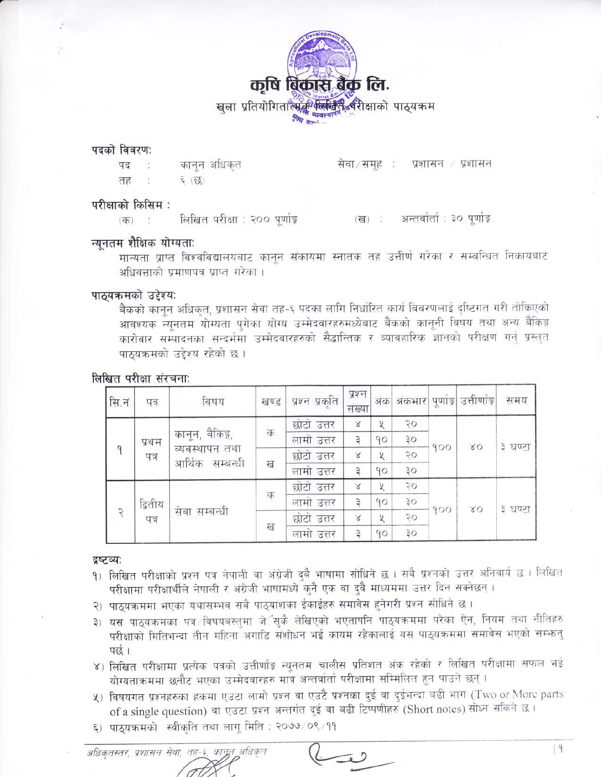

#### पदको विवरण:

कानून अधिकृत पद तह  $5(55)$ 

परीक्षाको किसिम :

लिखित परीक्षा : २०० पर्णाङ्ग (ख) : अन्तर्वार्ता : ३० पूर्णाङ्  $(\overline{dp})$ :

### न्युनतम शैक्षिक योग्यता:

मान्यता प्राप्त विश्वविद्यालयबाट कानून संकायमा स्नातक तह उत्तीर्ण गरेका र सम्बन्धित निकायबाट अधिवत्ताको प्रमाणपत्र प्राप्त गरेका ।

सेवा/समह: प्रशासन / प्रशासन

#### पाठ्यक्रमको उद्देश्य:

बैंकको कानून अधिकृत, प्रशासन सेवा तह-६ पदका लागि निर्धारित कार्य विवरणलाई दृष्टिगत गरी तोकिएको आवश्यक न्यूनतम योग्यता पुगेका योग्य उम्मेदवारहरुमध्येबाट बैंकको कानूनी विषय तथा अन्य बैंकिङ्ग कारोवार सम्पादनका सन्दर्भमा उम्मेदवारहरुको सैद्धान्तिक र व्यावहारिक ज्ञानको परीक्षण गर्नु प्रस्तुत पाठयक्रमको उद्देश्य रहेको छ।

#### लिखित परीक्षा संरचना:

| सि.नं.        | पत्र            | विषय                                                  | खण्ड | प्रश्न प्रकृति | प्रश्न<br>संख्या | अंक। | अंकभार         | पूर्णाङ्ग | उत्तीर्णाङ् | समय     |
|---------------|-----------------|-------------------------------------------------------|------|----------------|------------------|------|----------------|-----------|-------------|---------|
|               |                 | कानून, बैंकिङ्ग,<br>व्यवस्थापन तथा<br>आर्थिक सम्बन्धी |      | छोटो उत्तर     | $\propto$        | X    | 70             | 900       | 80          | ३ घण्टा |
|               | प्रथम<br>पत्र   |                                                       | क    | लामो उत्तर     | $\overline{z}$   | 90   | 30             |           |             |         |
| 9             |                 |                                                       | ख    | छोटो उत्तर     | X                | X    | २०             |           |             |         |
|               |                 |                                                       |      | लामो उत्तर     | Ŕ                | 90   | 30             |           |             |         |
| $\mathcal{R}$ | द्वितीय<br>पत्र | सेवा सम्बन्धी                                         |      | छोटो उत्तर     | $\propto$        | Χ    | $\overline{Q}$ | 900       | 80          | ३ घण्टा |
|               |                 |                                                       | क    | लामो उत्तर     | £,               | 90   | 30             |           |             |         |
|               |                 |                                                       |      | छोटो उत्तर     | $\propto$        | X    | २०             |           |             |         |
|               |                 |                                                       | ख    | लामो उत्तर     | Ŕ                | 90   | ąо             |           |             |         |

#### द्रष्टव्य:

- 9) लिखित परीक्षाको प्रश्न पत्र नेपाली वा अंग्रेजी दुबै भाषामा सोधिने छ । सबै प्रश्नको उत्तर अनिवार्य छ । लिखित परीक्षामा परीक्षार्थीले नेपाली र अंग्रेजी भाषामध्ये कुनै एक वा दुवै माध्यममा उत्तर दिन सक्नेछन्।
- २) पाठ्यक्रममा भएका यथासम्भव सबै पाठ्यांशका ईकाईहरु समावेस हुनेगरी प्रश्न सोधिने छ।
- ३) यस पाठयक्रमका पत्र विषयवस्तमा जे∵सकै लेखिएको भएतापनि पाठयक्रममा परेका ऐन, नियम तथा नीतिहरु परीक्षाको मितिभन्दा तीन महिना अगाडि संशोधन भई कायम रहेकालाई यस पाठ्यक्रममा समावेस भएको सम्फन् पन्न ।
- ४) लिखित परीक्षामा प्रत्येक पत्रको उत्तीर्णाङ्क न्यूनतम चालीस प्रतिशत अंक रहेको र लिखित परीक्षामा सफल भई योग्यताक्रममा छनौट भएका उम्मेदवारहरु मात्र अन्तर्वार्ता परीक्षामा सम्मिलित हुन पाउने छन्।
- ५) विषयगत प्रश्नहरुका हकमा एउटा लामो प्रश्न वा एउटै प्रश्नका दुई वा दुईभन्दा बढी भाग (Two or More parts of a single question) वा एउटा प्रश्न अन्तर्गत दुई वा बढी टिप्पणीहरु (Short notes) सोध्न सकिने छ।
- ६) पाठयक्रमको स्वीकृति तथा लागू मिति : २०७७/०९/११

अधिकृतस्तर, प्रशासन सेवा, तह-६, कानून अधिकृत

 $|9$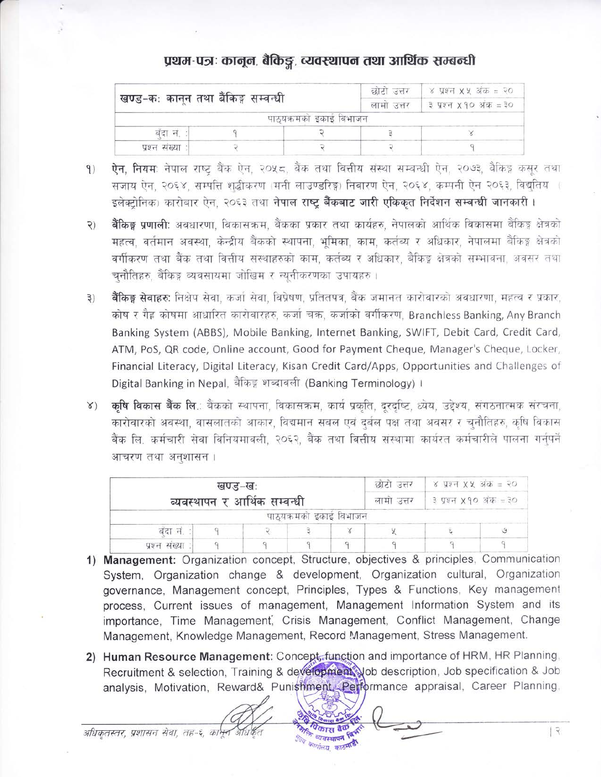# प्रथम-पत्रः कानून, बैकिङ्ग, व्यवस्थापन तथा आर्थिक सम्बन्धी

|                                     |  | छोटो उत्तर              | ४ प्रश्न X X अक = २० |                                     |  |
|-------------------------------------|--|-------------------------|----------------------|-------------------------------------|--|
| खण्ड-कः कानून तथा बैंकिङ्ग सम्वन्धी |  |                         | लामा उत्तर           | $\frac{3}{2}$ प्रश्न X 90 अक $=$ 30 |  |
|                                     |  | पाठ्यक्रमका इकाइ विभाजन |                      |                                     |  |
| बंदा नं.                            |  |                         |                      |                                     |  |
| प्रश्न संख्या :                     |  |                         |                      |                                     |  |

- ऐन, नियम: नेपाल राष्ट्र बैंक ऐन, २०५८, बैंक तथा वित्तीय संस्था सम्बन्धी ऐन, २०७३, बैंकिङ्ग कसुर तथा  $9)$ सजाय ऐन, २०६४, सम्पत्ति शद्धीकरण (मनी लाउण्डरिङ्ग) निवारण ऐन, २०६४, कम्पनी ऐन २०६३, विद्युतिय ( इलेक्टोनिक) कारोबार ऐन, २०६३ तथा नेपाल राष्ट्र बैंकबाट जारी एकिकत निर्देशन सम्बन्धी जानकारी।
- **बैंकिङ्ग प्रणाली:** अवधारणा, विकासक्रम, बैंकका प्रकार तथा कार्यहरु, नेपालको आर्थिक विकासमा बैंकिङ्ग क्षेत्रको  $\mathcal{L}$ महत्व, वर्तमान अवस्था, केन्द्रीय बैंकको स्थापना, भूमिका, काम, कर्तब्य र अधिकार, नेपालमा बैंकिङ्ग क्षेत्रको वर्गीकरण तथा बैंक तथा वित्तीय संस्थाहरुको काम, कर्तब्य र अधिकार, बैकिङ्ग क्षेत्रको सम्भावना, अवसर तथा चुनौतिहरु, बैंकिङ्ग व्यवसायमा जोखिम र न्यूनीकरणका उपायहरु ।
- **बैंकिङ्ग सेवाहरु:** निक्षेप सेवा, कर्जा सेवा, विप्रेषण, प्रतितपत्र, बैंक जमानत कारोवारको अवधारणा, महत्व र प्रकार,  $\mathfrak{z}$ कोष र गैह कोषमा आधारित कारोवारहरु, कर्जा चक्र, कर्जाको वर्गीकरण, Branchless Banking, Any Branch Banking System (ABBS), Mobile Banking, Internet Banking, SWIFT, Debit Card, Credit Card, ATM, PoS, QR code, Online account, Good for Payment Cheque, Manager's Cheque, Locker, Financial Literacy, Digital Literacy, Kisan Credit Card/Apps, Opportunities and Challenges of Digital Banking in Nepal, बैंकिङ्ग शब्दावली (Banking Terminology)।
- **कषि विकास बैंक लि**.: बैंकको स्थापना, विकासक्रम, कार्य प्रकृति, दरदृष्टि, ध्येय, उद्देश्य, संगठनात्मक संरचना,  $8)$ कारोवारको अवस्था, वासलातको आकार, विद्यमान सबल एवं दुर्बल पक्ष तथा अवसर र चुनौतिहरु, कृषि विकास बैंक लि. कर्मचारी सेवा विनियमावली, २०६२, बैंक तथा वित्तीय संस्थामा कार्यरत कर्मचारीले पालना गर्नपर्ने आचरण तथा अनशासन ।

|               | खण्ड–खः | व्यवस्थापन र आर्थिक सम्वन्धी |                         | छोटो उत्तर<br>लामा उत्तर | ४ प्रश्न XX अंक = २०<br>। ३ प्रश्न <b>X</b> १० अक् = ३० |  |
|---------------|---------|------------------------------|-------------------------|--------------------------|---------------------------------------------------------|--|
|               |         |                              | पाठ्यक्रमको इकाई विभाजन |                          |                                                         |  |
| बदा न         |         |                              |                         |                          |                                                         |  |
| प्रश्न संख्या |         |                              |                         |                          |                                                         |  |

- 1) Management: Organization concept, Structure, objectives & principles, Communication System, Organization change & development, Organization cultural, Organization governance, Management concept, Principles, Types & Functions, Key management process. Current issues of management, Management Information System and its importance, Time Management, Crisis Management, Conflict Management, Change Management, Knowledge Management, Record Management, Stress Management.
- 2) Human Resource Management: Concept function and importance of HRM, HR Planning, Recruitment & selection, Training & development yob description, Job specification & Job analysis. Motivation, Reward& Punishment. Performance appraisal, Career Planning,

यवस्थापन <sup>हि</sup> <sup>नागां</sup>लय काठमाड

अधिकतस्तर, प्रशासन सेवा, तह-६,

 $| \nvert$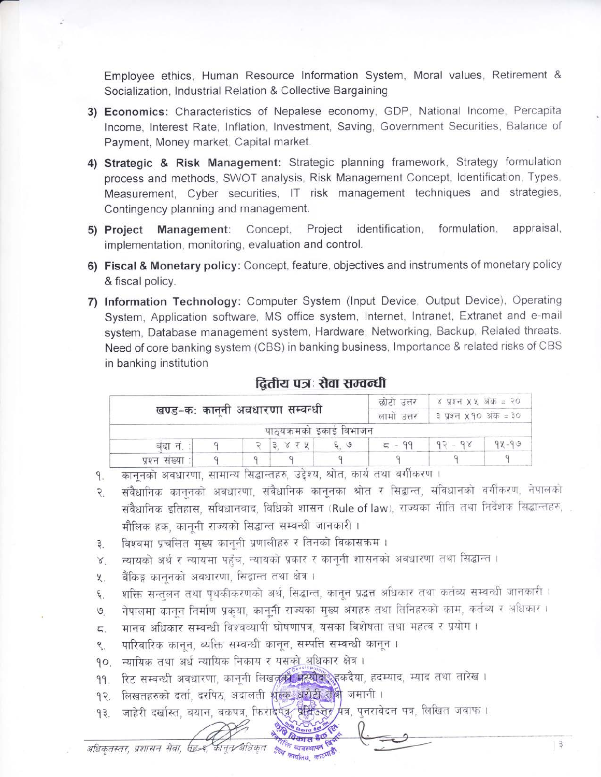Employee ethics, Human Resource Information System, Moral values, Retirement & Socialization, Industrial Relation & Collective Bargaining

- 3) Economics: Characteristics of Nepalese economy, GDP, National Income, Percapita Income, Interest Rate, Inflation, Investment, Saving, Government Securities, Balance of Payment, Money market, Capital market.
- 4) Strategic & Risk Management: Strategic planning framework, Strategy formulation process and methods, SWOT analysis, Risk Management Concept, Identification, Types, Measurement, Cyber securities, IT risk management techniques and strategies, Contingency planning and management.
- 5) Project Management: Concept, Project identification, formulation, appraisal, implementation, monitoring, evaluation and control.
- 6) Fiscal & Monetary policy: Concept, feature, objectives and instruments of monetary policy & fiscal policy.
- 7) Information Technology: Computer System (Input Device, Output Device), Operating System, Application software, MS office system, Internet, Intranet, Extranet and e-mail system, Database management system, Hardware, Networking, Backup, Related threats. Need of core banking system (CBS) in banking business, Importance & related risks of CBS in banking institution

| खण्ड-कः कानुनी अवधारणा सम्वन्धी |  |  |          |                         | छाटा उत्तर<br>लामा उत्तर | ४ प्रश्न ४.४ अक्ट = २०<br>३ प्रश्न <b>x</b> १० अंक = ३० |           |
|---------------------------------|--|--|----------|-------------------------|--------------------------|---------------------------------------------------------|-----------|
|                                 |  |  |          | पाठ्यक्रमको इकाई विभाजन |                          |                                                         |           |
| बंदा नं. :                      |  |  | 3. 8 7 4 | 50.5                    |                          | $92 - 98$                                               | $94 - 99$ |
| प्रश्न संख्या                   |  |  |          |                         |                          |                                                         |           |

## दितीय पत्रः सेवा सम्वन्धी

काननको अवधारणा, सामान्य सिद्धान्तहरु, उद्देश्य, श्रोत, कार्य तथा वर्गीकरण । 9.

- संवैधानिक कानुनको अवधारणा, संवैधानिक कानुनका श्रोत र सिद्वान्त, संविधानको वर्गीकरण, नेपालको  $\overline{R}$ संवैधानिक इतिहास, संविधानवाद, विधिको शासन (Rule of law), राज्यका नीति तथा निर्देशक सिद्धान्तहरु, मौलिक हक, काननी राज्यको सिद्धान्त सम्बन्धी जानकारी।
- विश्वमा प्रचलित मख्य काननी प्रणालीहरु र तिनको विकासक्रम।  $\beta$ .
- न्यायको अर्थ र न्यायमा पहुँच, न्यायको प्रकार र कानूनी शासनको अवधारणा तथा सिद्धान्त ।  $8^{\circ}$
- बैंकिङ्ग काननको अवधारणा, सिद्वान्त तथा क्षेत्र ।  $x$ .
- शक्ति सन्तुलन तथा पृथकीकरणको अर्थ, सिद्धान्त, कानून प्रद्धत्त अधिकार तथा कर्तव्य सम्बन्धी जानकारी। ٤.
- नेपालमा कानून निर्माण प्रकृया, कानूनी राज्यका मुख्य अंगहरु तथा तिनिहरुको काम, कर्तब्य र अधिकार।  $\mathcal{G}$
- मानव अधिकार सम्बन्धी विश्वव्यापी घोषणापत्र, यसका विशेषता तथा महत्व र प्रयोग। ζ.
- पारिवारिक कानून, ब्यक्ति सम्बन्धी कानून, सम्पत्ति सम्बन्धी कानून । ९.
- १०. न्यायिक तथा अर्ध न्यायिक निकाय र यसक<u>ो अ</u>धिकार क्षेत्र ।
- रिट सम्बन्धी अवधारणा, कानूनी लिखतूको प्रत्योद्धिहरूदैया, हदम्याद, म्याद तथा तारेख । 99.
- लिखतहरुको दर्ता, दरपिठ, अदालती शुल्क, धरोटी ले<mark>थी</mark> जमानी ।  $92.$
- जाहेरी दर्खास्त, बयान, बकपत्र, फिराईपक्क, प्रेसिडेनेर मत्र, पुनरावेदन पत्र, लिखित जवाफ।  $93.$